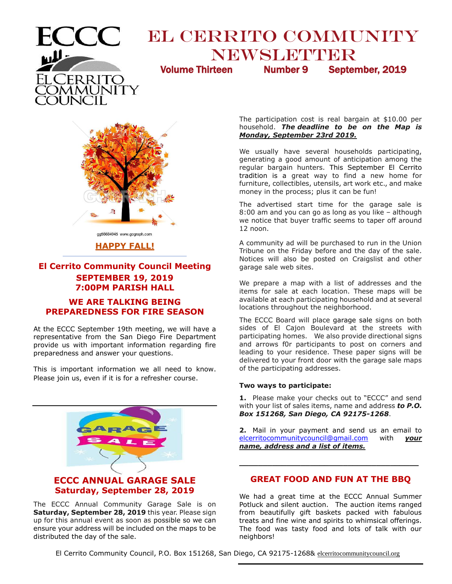

# **EL CERRITO COMMUNITY** NEWSLETTER

Volume Thirteen Number 9 September, 2019



#### gg56684945 www.gograph.com

#### **HAPPY FALL! \_\_\_\_\_\_\_\_\_\_\_\_\_\_\_\_\_\_\_\_\_\_\_\_\_\_\_\_\_\_\_\_\_\_\_\_\_\_\_\_\_\_\_\_\_\_\_\_**

# **El Cerrito Community Council Meeting SEPTEMBER 19, 2019 7:00PM PARISH HALL**

# **WE ARE TALKING BEING PREPAREDNESS FOR FIRE SEASON**

At the ECCC September 19th meeting, we will have a representative from the San Diego Fire Department provide us with important information regarding fire preparedness and answer your questions.

This is important information we all need to know. Please join us, even if it is for a refresher course.



The ECCC Annual Community Garage Sale is on **Saturday, September 28, 2019** this year. Please sign up for this annual event as soon as possible so we can ensure your address will be included on the maps to be distributed the day of the sale.

The participation cost is real bargain at \$10.00 per household. *The deadline to be on the Map is Monday, September 23rd 2019.*

We usually have several households participating, generating a good amount of anticipation among the regular bargain hunters. This September El Cerrito tradition is a great way to find a new home for furniture, collectibles, utensils, art work etc., and make money in the process; plus it can be fun!

The advertised start time for the garage sale is 8:00 am and you can go as long as you like – although we notice that buyer traffic seems to taper off around 12 noon.

A community ad will be purchased to run in the Union Tribune on the Friday before and the day of the sale. Notices will also be posted on Craigslist and other garage sale web sites.

We prepare a map with a list of addresses and the items for sale at each location. These maps will be available at each participating household and at several locations throughout the neighborhood.

The ECCC Board will place garage sale signs on both sides of El Cajon Boulevard at the streets with participating homes. We also provide directional signs and arrows f0r participants to post on corners and leading to your residence. These paper signs will be delivered to your front door with the garage sale maps of the participating addresses.

#### **Two ways to participate:**

**1.** Please make your checks out to "ECCC" and send with your list of sales items, name and address *to P.O. Box 151268, San Diego, CA 92175-1268*.

**2.** Mail in your payment and send us an email to [elcerritocommunitycouncil@gmail.com](mailto:elcerritocommunitycouncil@gmail.com) with *your name, address and a list of items.*

# **GREAT FOOD AND FUN AT THE BBQ**

**\_\_\_\_\_\_\_\_\_\_\_\_\_\_\_\_\_\_\_\_\_\_\_\_\_\_\_\_\_\_\_\_\_\_\_\_\_\_**

We had a great time at the ECCC Annual Summer Potluck and silent auction. The auction items ranged from beautifully gift baskets packed with fabulous treats and fine wine and spirits to whimsical offerings. The food was tasty food and lots of talk with our neighbors!

El Cerrito Community Council, P.O. Box 151268, San Diego, CA 92175-1268& elcerritocommunitycouncil.org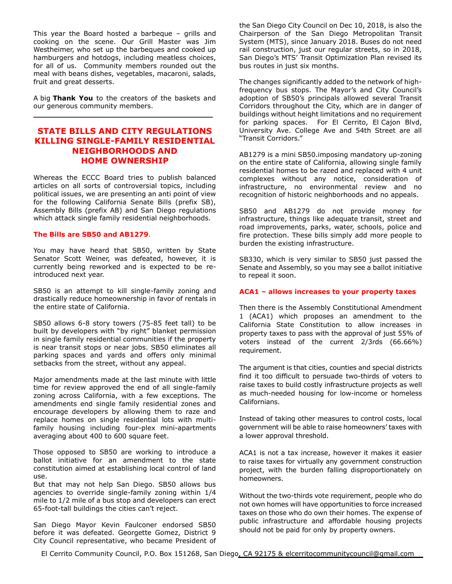This year the Board hosted a barbeque – grills and cooking on the scene. Our Grill Master was Jim Westheimer, who set up the barbeques and cooked up hamburgers and hotdogs, including meatless choices, for all of us. Community members rounded out the meal with beans dishes, vegetables, macaroni, salads, fruit and great desserts.

A big **Thank You** to the creators of the baskets and our generous community members. **\_\_\_\_\_\_\_\_\_\_\_\_\_\_\_\_\_\_\_\_\_\_\_\_\_\_\_\_\_\_\_\_\_\_\_\_\_\_**

# **STATE BILLS AND CITY REGULATIONS KILLING SINGLE-FAMILY RESIDENTIAL NEIGHBORHOODS AND HOME OWNERSHIP**

Whereas the ECCC Board tries to publish balanced articles on all sorts of controversial topics, including political issues, we are presenting an anti point of view for the following California Senate Bills (prefix SB), Assembly Bills (prefix AB) and San Diego regulations which attack single family residential neighborhoods.

#### **The Bills are SB50 and AB1279**.

You may have heard that SB50, written by State Senator Scott Weiner, was defeated, however, it is currently being reworked and is expected to be reintroduced next year.

SB50 is an attempt to kill single-family zoning and drastically reduce homeownership in favor of rentals in the entire state of California.

SB50 allows 6-8 story towers (75-85 feet tall) to be built by developers with "by right" blanket permission in single family residential communities if the property is near transit stops or near jobs. SB50 eliminates all parking spaces and yards and offers only minimal setbacks from the street, without any appeal.

Major amendments made at the last minute with little time for review approved the end of all single-family zoning across California, with a few exceptions. The amendments end single family residential zones and encourage developers by allowing them to raze and replace homes on single residential lots with multifamily housing including four-plex mini-apartments averaging about 400 to 600 square feet.

Those opposed to SB50 are working to introduce a ballot initiative for an amendment to the state constitution aimed at establishing local control of land use.

But that may not help San Diego. SB50 allows bus agencies to override single-family zoning within 1/4 mile to 1/2 mile of a bus stop and developers can erect 65-foot-tall buildings the cities can't reject.

San Diego Mayor Kevin Faulconer endorsed SB50 before it was defeated. Georgette Gomez, District 9 City Council representative, who became President of the San Diego City Council on Dec 10, 2018, is also the Chairperson of the San Diego Metropolitan Transit System (MTS), since January 2018. Buses do not need rail construction, just our regular streets, so in 2018, San Diego's [MTS](https://en.wikipedia.org/wiki/San_Diego_Metropolitan_Transit_System)' [Transit Optimization Plan r](https://www.sdmts.com/inside-mts-current-projects/transit-optimization-plan)evised its bus routes in just six months.

The changes significantly added to the network of highfrequency bus stops. The Mayor's and City Council's adoption of SB50's principals allowed several Transit Corridors throughout the City, which are in danger of buildings without height limitations and no requirement for parking spaces. For El Cerrito, El Cajon Blvd, University Ave. College Ave and 54th Street are all "Transit Corridors."

AB1279 is a mini SB50.imposing mandatory up-zoning on the entire state of California, allowing single family residential homes to be razed and replaced with 4 unit complexes without any notice, consideration of infrastructure, no environmental review and no recognition of historic neighborhoods and no appeals.

SB50 and AB1279 do not provide money for infrastructure, things like adequate transit, street and road improvements, parks, water, schools, police and fire protection. These bills simply add more people to burden the existing infrastructure.

SB330, which is very similar to SB50 just passed the Senate and Assembly, so you may see a ballot initiative to repeal it soon.

#### **ACA1 – allows increases to your property taxes**

Then there is the Assembly Constitutional Amendment 1 (ACA1) which proposes an amendment to the California State Constitution to allow increases in property taxes to pass with the approval of just 55% of voters instead of the current 2/3rds (66.66%) requirement.

The argument is that cities, counties and special districts find it too difficult to persuade two-thirds of voters to raise taxes to build costly infrastructure projects as well as much-needed housing for low-income or homeless Californians.

Instead of taking other measures to control costs, local government will be able to raise homeowners' taxes with a lower approval threshold.

ACA1 is not a tax increase, however it makes it easier to raise taxes for virtually any government construction project, with the burden falling disproportionately on homeowners.

Without the two-thirds vote requirement, people who do not own homes will have opportunities to force increased taxes on those who do own their homes. The expense of public infrastructure and affordable housing projects should not be paid for only by property owners.

El Cerrito Community Council, P.O. Box 151268, San Diego, CA 92175 & elcerritocommunitycouncil@gmail.com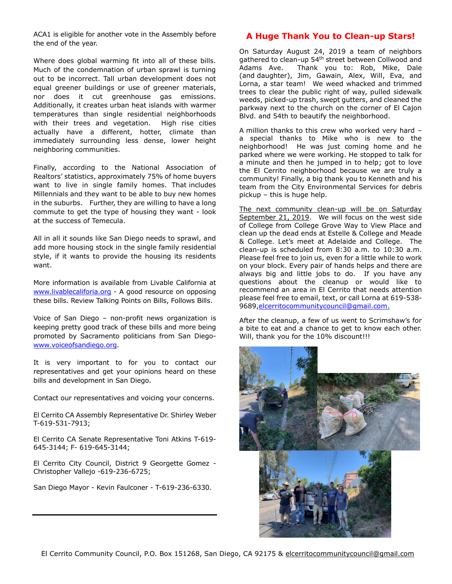ACA1 is eligible for another vote in the Assembly before the end of the year.

Where does global warming fit into all of these bills. Much of the condemnation of urban sprawl is turning out to be incorrect. Tall urban development does not equal greener buildings or use of greener materials, nor does it cut greenhouse gas emissions. Additionally, it creates urban heat islands with warmer temperatures than single residential neighborhoods with their trees and vegetation. High rise cities actually have a different, hotter, climate than immediately surrounding less dense, lower height neighboring communities.

Finally, according to the National Association of Realtors' statistics, approximately 75% of home buyers want to live in single family homes. That includes Millennials and they want to be able to buy new homes in the suburbs. Further, they are willing to have a long commute to get the type of housing they want - look at the success of Temecula.

All in all it sounds like San Diego needs to sprawl, and add more housing stock in the single family residential style, if it wants to provide the housing its residents want.

More information is available from Livable California at [www.livablecaliforia.org](http://www.livablecaliforia.org/) - A good resource on opposing these bills. Review Talking Points on Bills, Follows Bills.

Voice of San Diego – non-profit news organization is keeping pretty good track of these bills and more being promoted by Sacramento politicians from San Diego[www.voiceofsandiego.org.](http://www.voiceofsandiego.org/)

It is very important to for you to contact our representatives and get your opinions heard on these bills and development in San Diego.

Contact our representatives and voicing your concerns.

El Cerrito CA Assembly Representative Dr. Shirley Weber T-619-531-7913;

El Cerrito CA Senate Representative Toni Atkins T-619- 645-3144; F- 619-645-3144;

El Cerrito City Council, District 9 Georgette Gomez - Christopher Vallejo -619-236-6725;

San Diego Mayor - Kevin Faulconer - T-619-236-6330.

#### **A Huge Thank You to Clean-up Stars!**

On Saturday August 24, 2019 a team of neighbors gathered to clean-up 54<sup>th</sup> street between Collwood and Adams Ave. Thank you to: Rob, Mike, Dale (and daughter), Jim, Gawain, Alex, Will, Eva, and Lorna, a star team! We weed whacked and trimmed trees to clear the public right of way, pulled sidewalk weeds, picked-up trash, swept gutters, and cleaned the parkway next to the church on the corner of El Cajon Blvd. and 54th to beautify the neighborhood.

A million thanks to this crew who worked very hard – a special thanks to Mike who is new to the neighborhood! He was just coming home and he parked where we were working. He stopped to talk for a minute and then he jumped in to help; got to love the El Cerrito neighborhood because we are truly a community! Finally, a big thank you to Kenneth and his team from the City Environmental Services for debris pickup – this is huge help.

The next community clean-up will be on Saturday September 21, 2019. We will focus on the west side of College from College Grove Way to View Place and clean up the dead ends at Estelle & College and Meade & College. Let's meet at Adelaide and College. The clean-up is scheduled from 8:30 a.m. to 10:30 a.m. Please feel free to join us, even for a little while to work on your block. Every pair of hands helps and there are always big and little jobs to do. If you have any questions about the cleanup or would like to recommend an area in El Cerrito that needs attention please feel free to email, text, or call Lorna at 619-538- 9689[,elcerritocommunitycouncil@gmail.com.](mailto:elcerritocommunitycouncil@gmail.com)

After the cleanup, a few of us went to Scrimshaw's for a bite to eat and a chance to get to know each other. Will, thank you for the 10% discount!!!